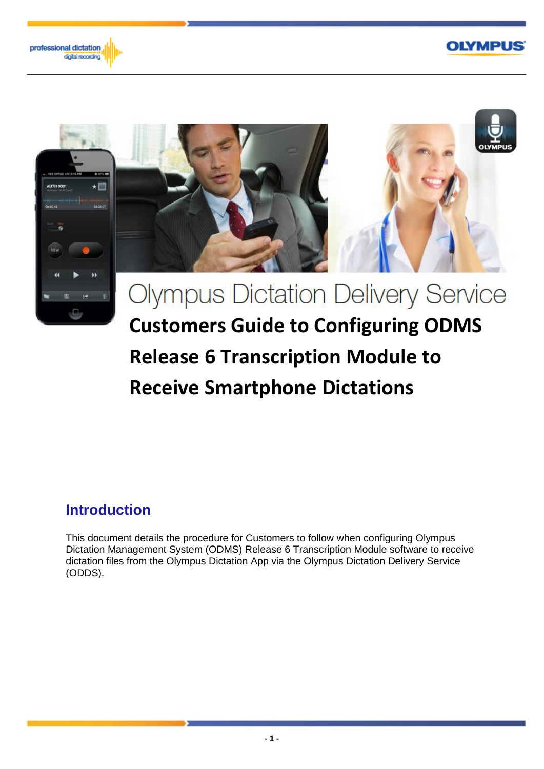#### **OLYMPUS**





# **Receive Smartphone Dictations**

## **Introduction**

This document details the procedure for Customers to follow when configuring Olympus Dictation Management System (ODMS) Release 6 Transcription Module software to receive dictation files from the Olympus Dictation App via the Olympus Dictation Delivery Service (ODDS).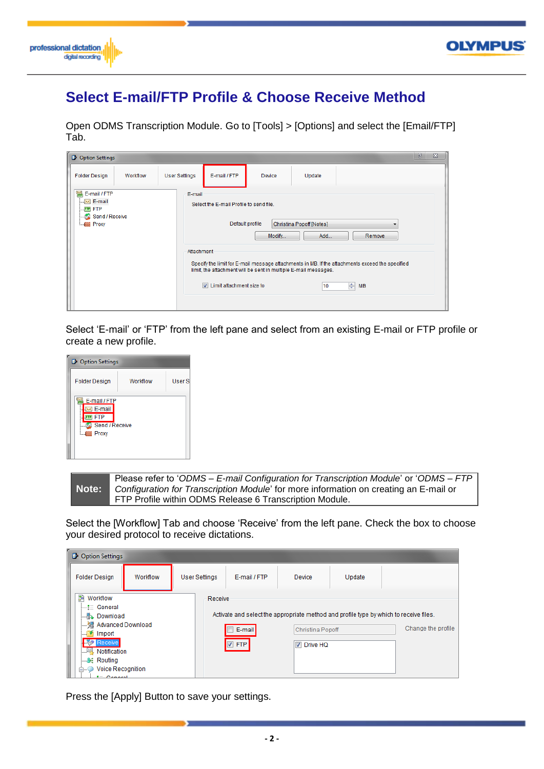



## **Select E-mail/FTP Profile & Choose Receive Method**

Open ODMS Transcription Module. Go to [Tools] > [Options] and select the [Email/FTP] Tab.

| <b>D</b> Option Settings                                                                                      |          |                      |                                                                                                        |                                                                           |                                       |                                                                                                                        | $\mathcal{P}$<br>$\Sigma$ |
|---------------------------------------------------------------------------------------------------------------|----------|----------------------|--------------------------------------------------------------------------------------------------------|---------------------------------------------------------------------------|---------------------------------------|------------------------------------------------------------------------------------------------------------------------|---------------------------|
| <b>Folder Design</b>                                                                                          | Workflow | <b>User Settings</b> | E-mail / FTP                                                                                           | Device                                                                    | Update                                |                                                                                                                        |                           |
| $\approx$<br>E-mail / FTP<br>$\sim$ E-mail<br><b>FTP FTP</b><br>Send / Receive<br>大國<br><b>EXECUTE:</b> Proxy |          | E-mail<br>Attachment | Select the E-mail Profile to send file.<br>Default profile<br>$\triangledown$ Limit attachment size to | Modify<br>limit, the attachment will be sent in multiple E-mail messages. | Christina Popoff [Notes]<br>Add<br>10 | Remove<br>Specify the limit for E-mail message attachments in MB. If the attachments exceed the specified<br>$\div$ MB |                           |

Select 'E-mail' or 'FTP' from the left pane and select from an existing E-mail or FTP profile or create a new profile.



**Note:** Please refer to '*ODMS – E-mail Configuration for Transcription Module*' or '*ODMS – FTP Configuration for Transcription Module*' for more information on creating an E-mail or FTP Profile within ODMS Release 6 Transcription Module.

Select the [Workflow] Tab and choose 'Receive' from the left pane. Check the box to choose your desired protocol to receive dictations.

| <b>Option Settings</b><br>D.                                                                                                                                                         |          |                      |                        |                                     |        |                                                                                                              |
|--------------------------------------------------------------------------------------------------------------------------------------------------------------------------------------|----------|----------------------|------------------------|-------------------------------------|--------|--------------------------------------------------------------------------------------------------------------|
| <b>Folder Design</b>                                                                                                                                                                 | Workflow | <b>User Settings</b> | E-mail / FTP           | Device                              | Update |                                                                                                              |
| 鈞<br>Workflow<br>i—"⊟ General<br><b>Download</b><br><b>Advanced Download</b><br>Import<br><br>Receive<br>Notification<br>-8€ Routing<br>Voice Recognition<br><b>E</b><br>$-$ Conoral |          | Receive              | E-mail<br>$\nabla$ FTP | Christina Popoff<br><b>Drive HQ</b> |        | Activate and select the appropriate method and profile type by which to receive files.<br>Change the profile |

Press the [Apply] Button to save your settings.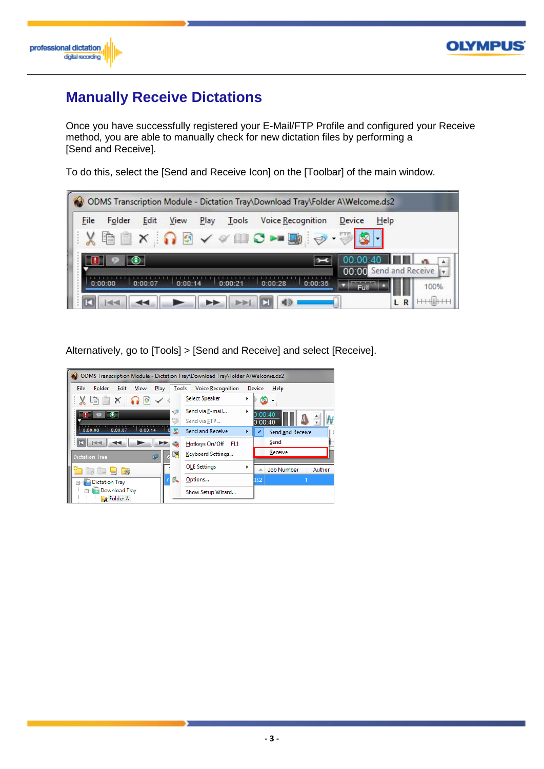



### **Manually Receive Dictations**

Once you have successfully registered your E-Mail/FTP Profile and configured your Receive method, you are able to manually check for new dictation files by performing a [Send and Receive].

To do this, select the [Send and Receive Icon] on the [Toolbar] of the main window.



Alternatively, go to [Tools] > [Send and Receive] and select [Receive].

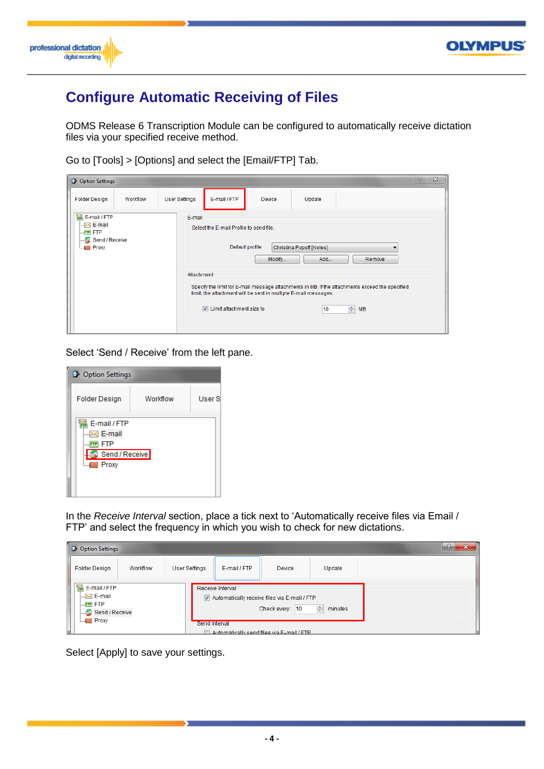



# **Configure Automatic Receiving of Files**

ODMS Release 6 Transcription Module can be configured to automatically receive dictation files via your specified receive method.

Go to [Tools] > [Options] and select the [Email/FTP] Tab.

| <b>D</b> Option Settings                                                                     |          |                      |                                                                                                                             |        |        |                                                                                                                     | P | $\boldsymbol{\Sigma}$ |
|----------------------------------------------------------------------------------------------|----------|----------------------|-----------------------------------------------------------------------------------------------------------------------------|--------|--------|---------------------------------------------------------------------------------------------------------------------|---|-----------------------|
| <b>Folder Design</b>                                                                         | Workflow | <b>User Settings</b> | E-mail / FTP                                                                                                                | Device | Update |                                                                                                                     |   |                       |
| 쯺 E-mail / FTP<br>$\sim$ E-mail<br><b>FTP FTP</b><br>Send / Receive<br><b>EXECUTE:</b> Proxy |          |                      | E-mail<br>Select the E-mail Profile to send file.<br>Default profile<br>Christina Popoff [Notes]<br>Add<br>Remove<br>Modify |        |        |                                                                                                                     |   |                       |
|                                                                                              |          |                      | Attachment<br>limit, the attachment will be sent in multiple E-mail messages.<br>$\triangledown$ Limit attachment size to   |        | 10     | Specify the limit for E-mail message attachments in MB. If the attachments exceed the specified<br>$\Rightarrow$ MB |   |                       |

Select 'Send / Receive' from the left pane.

| Option Settings                                                         |          |        |  |  |  |  |  |  |  |
|-------------------------------------------------------------------------|----------|--------|--|--|--|--|--|--|--|
| <b>Folder Design</b>                                                    | Workflow | User S |  |  |  |  |  |  |  |
| E-mail / FTP<br>E-mail<br><b>FTP</b><br>Send / Receive<br>Proxy<br>└─€第 |          |        |  |  |  |  |  |  |  |

In the *Receive Interval* section, place a tick next to 'Automatically receive files via Email / FTP' and select the frequency in which you wish to check for new dictations.

| Option Settings                                                                     |          |                      |                                          |                                                                                                              |                   | ∼ |
|-------------------------------------------------------------------------------------|----------|----------------------|------------------------------------------|--------------------------------------------------------------------------------------------------------------|-------------------|---|
| <b>Folder Design</b>                                                                | Workflow | <b>User Settings</b> | E-mail / FTP                             | <b>Device</b>                                                                                                | Update            |   |
| E-mail / FTP<br>$\sim$ E-mail<br><b>FIP FTP</b><br>Send / Receive<br><b>E</b> Proxy |          |                      | Receive Interval<br><b>Send Interval</b> | Automatically receive files via E-mail / FTP<br>Check every: 10<br>Automatically send files via F-mail / FTP | $\div$<br>minutes |   |

Select [Apply] to save your settings.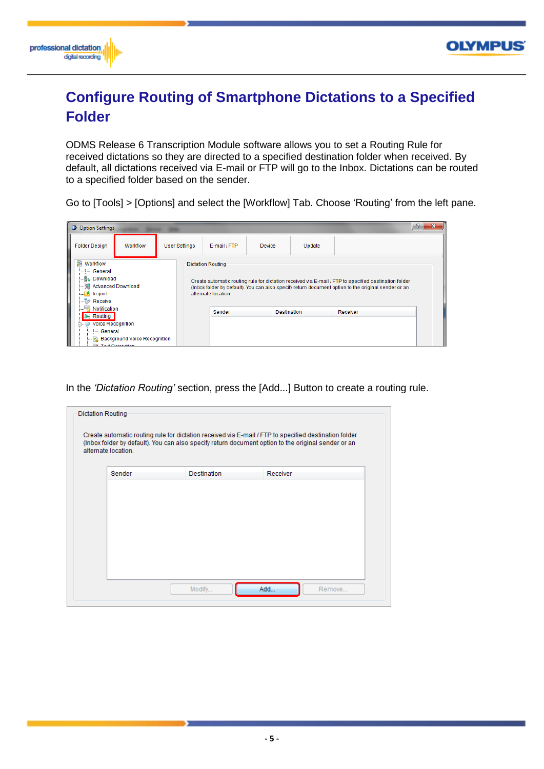



# **Configure Routing of Smartphone Dictations to a Specified Folder**

ODMS Release 6 Transcription Module software allows you to set a Routing Rule for received dictations so they are directed to a specified destination folder when received. By default, all dictations received via E-mail or FTP will go to the Inbox. Dictations can be routed to a specified folder based on the sender.

Go to [Tools] > [Options] and select the [Workflow] Tab. Choose 'Routing' from the left pane.

| Option Settings                                                                                                                                                                                                        |               |                                         |                    |        |                                                                                                                                                                                                              | -92<br>x |
|------------------------------------------------------------------------------------------------------------------------------------------------------------------------------------------------------------------------|---------------|-----------------------------------------|--------------------|--------|--------------------------------------------------------------------------------------------------------------------------------------------------------------------------------------------------------------|----------|
| Workflow<br><b>Folder Design</b>                                                                                                                                                                                       | User Settings | E-mail / FTP                            | <b>Device</b>      | Update |                                                                                                                                                                                                              |          |
| <b>SA</b> Workflow<br>$\leftarrow \equiv$ General<br>—‼s⊾ Download<br><b>Manufacture Service Service Service Service Service Service Service Service Service Service Service Service S</b><br>$\Box$ Import<br>Receive |               | Dictation Routing<br>alternate location |                    |        | Create automatic routing rule for dictation received via E-mail / FTP to specified destination folder<br>(Inbox folder by default). You can also specify return document option to the original sender or an |          |
| Notification<br>84 Routing<br><b>Voice Recognition</b><br>白…<br>i—i⊟ General<br><b>Background Voice Recognition</b><br><b>Tayt Correction</b>                                                                          |               | Sender                                  | <b>Destination</b> |        | Receiver                                                                                                                                                                                                     |          |

In the *'Dictation Routing'* section, press the [Add...] Button to create a routing rule.

| alternate location. |                    |               |  |
|---------------------|--------------------|---------------|--|
| Sender              | <b>Destination</b> | Receiver      |  |
|                     |                    |               |  |
|                     |                    |               |  |
|                     |                    |               |  |
|                     |                    |               |  |
|                     |                    |               |  |
|                     |                    |               |  |
|                     |                    |               |  |
|                     |                    |               |  |
|                     |                    |               |  |
|                     | Modify             | Add<br>Remove |  |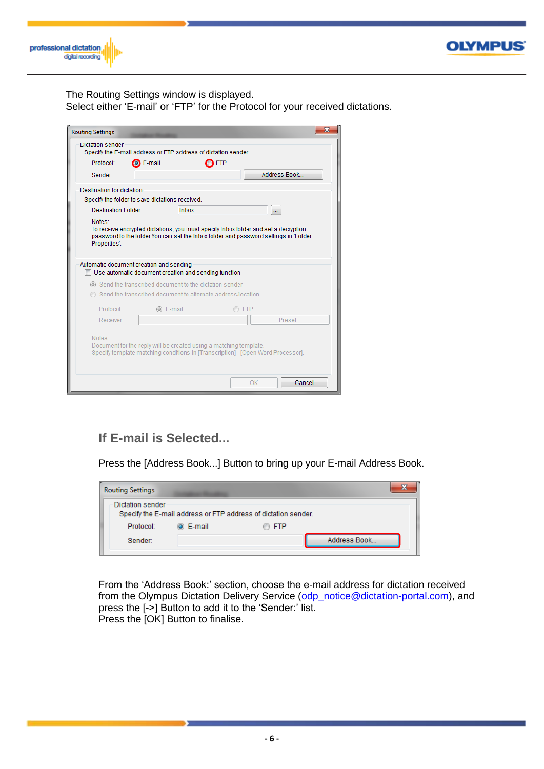



The Routing Settings window is displayed.

Select either 'E-mail' or 'FTP' for the Protocol for your received dictations.

| <b>Routing Settings</b>                                                     |                                                                                                                                                                                                                                                                                                                                         |                                                                   |       |                                                                                  | X |  |  |  |  |
|-----------------------------------------------------------------------------|-----------------------------------------------------------------------------------------------------------------------------------------------------------------------------------------------------------------------------------------------------------------------------------------------------------------------------------------|-------------------------------------------------------------------|-------|----------------------------------------------------------------------------------|---|--|--|--|--|
| Dictation sender                                                            |                                                                                                                                                                                                                                                                                                                                         |                                                                   |       |                                                                                  |   |  |  |  |  |
|                                                                             |                                                                                                                                                                                                                                                                                                                                         | Specify the E-mail address or FTP address of dictation sender.    |       |                                                                                  |   |  |  |  |  |
| Protocol:                                                                   | <b>O</b> E-mail                                                                                                                                                                                                                                                                                                                         | <b>FTP</b>                                                        |       |                                                                                  |   |  |  |  |  |
| Sender:                                                                     |                                                                                                                                                                                                                                                                                                                                         |                                                                   |       | Address Book                                                                     |   |  |  |  |  |
| Destination for dictation                                                   |                                                                                                                                                                                                                                                                                                                                         |                                                                   |       |                                                                                  |   |  |  |  |  |
| Specify the folder to save dictations received.                             |                                                                                                                                                                                                                                                                                                                                         |                                                                   |       |                                                                                  |   |  |  |  |  |
| <b>Destination Folder:</b>                                                  |                                                                                                                                                                                                                                                                                                                                         | <b>Inbox</b>                                                      |       |                                                                                  |   |  |  |  |  |
| Properties'.<br>Send the transcribed document to alternate address/location | To receive encrypted dictations, you must specify Inbox folder and set a decryption<br>password to the folder.You can set the Inbox folder and password settings in 'Folder<br>Automatic document creation and sending<br>Use automatic document creation and sending function<br>send the transcribed document to the dictation sender |                                                                   |       |                                                                                  |   |  |  |  |  |
|                                                                             |                                                                                                                                                                                                                                                                                                                                         |                                                                   |       |                                                                                  |   |  |  |  |  |
| Protocol:                                                                   | ◎ E-mail                                                                                                                                                                                                                                                                                                                                |                                                                   | O FTP |                                                                                  |   |  |  |  |  |
| Receiver:                                                                   |                                                                                                                                                                                                                                                                                                                                         |                                                                   |       | Preset                                                                           |   |  |  |  |  |
| Notes:                                                                      |                                                                                                                                                                                                                                                                                                                                         | Document for the reply will be created using a matching template. |       | Specify template matching conditions in [Transcription] - [Open Word Processor]. |   |  |  |  |  |
|                                                                             |                                                                                                                                                                                                                                                                                                                                         |                                                                   |       | Cancel<br>OK                                                                     |   |  |  |  |  |

#### **If E-mail is Selected...**

Press the [Address Book...] Button to bring up your E-mail Address Book.

| <b>Routing Settings</b> |                |                                                                |              |
|-------------------------|----------------|----------------------------------------------------------------|--------------|
| Dictation sender        |                | Specify the E-mail address or FTP address of dictation sender. |              |
| Protocol:               | $\odot$ E-mail | $\circledcirc$ ftp                                             |              |
| Sender:                 |                |                                                                | Address Book |

From the 'Address Book:' section, choose the e-mail address for dictation received from the Olympus Dictation Delivery Service [\(odp\\_notice@dictation-portal.com\)](mailto:odp_notice@dictation-portal.com), and press the [->] Button to add it to the 'Sender:' list. Press the [OK] Button to finalise.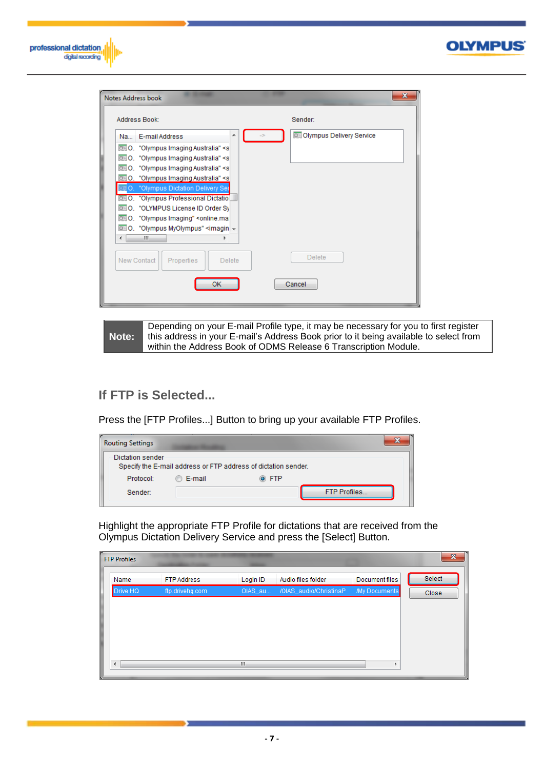

|        | Address Book:                                                     | Sender:                           |
|--------|-------------------------------------------------------------------|-----------------------------------|
|        | ▲<br>Na E-mail Address                                            | <b>B</b> Olympus Delivery Service |
|        | 图 O. "Olympus Imaging Australia" <s< td=""><td></td></s<>         |                                   |
|        | 图 0. "Olympus Imaging Australia" <s< td=""><td></td></s<>         |                                   |
|        | DE O. "Olympus Imaging Australia" <s< td=""><td></td></s<>        |                                   |
|        | □ 0. "Olympus Imaging Australia" <s< td=""><td></td></s<>         |                                   |
| III 0. | <b>U</b> "Olympus Dictation Delivery Ser                          |                                   |
|        | DE O. "Olympus Professional Dictation                             |                                   |
|        | <b>IIIO.</b> "OLYMPUS License ID Order Sy                         |                                   |
|        | 图 O. "Olympus Imaging" <online.ma< td=""><td></td></online.ma<>   |                                   |
|        | iii O. "Olympus MyOlympus" <imagin td="" –<=""><td></td></imagin> |                                   |
|        | m.                                                                |                                   |
|        |                                                                   |                                   |
|        |                                                                   | Delete                            |
|        | New Contact<br>Properties<br><b>Delete</b>                        |                                   |
|        |                                                                   |                                   |

**Note:** Depending on your E-mail Profile type, it may be necessary for you to first register this address in your E-mail's Address Book prior to it being available to select from within the Address Book of ODMS Release 6 Transcription Module.

#### **If FTP is Selected...**

Press the [FTP Profiles...] Button to bring up your available FTP Profiles.

| <b>Routing Settings</b>                                                            |          |       |                     |  |  |  |  |  |
|------------------------------------------------------------------------------------|----------|-------|---------------------|--|--|--|--|--|
| Dictation sender<br>Specify the E-mail address or FTP address of dictation sender. |          |       |                     |  |  |  |  |  |
| Protocol:                                                                          | ◎ E-mail | ⊙ FTP |                     |  |  |  |  |  |
| Sender:                                                                            |          |       | <b>FTP Profiles</b> |  |  |  |  |  |

Highlight the appropriate FTP Profile for dictations that are received from the Olympus Dictation Delivery Service and press the [Select] Button.

| <b>FTP Profiles</b> |                    |          |                        |                | $\mathbf{x}$ |
|---------------------|--------------------|----------|------------------------|----------------|--------------|
| Name                | <b>FTP Address</b> | Login ID | Audio files folder     | Document files | Select       |
| Drive HQ            | ftp.drivehq.com    | OIAS_au  | /OIAS_audio/ChristinaP | My Documents   | Close        |
|                     |                    |          |                        |                |              |
|                     |                    |          |                        |                |              |
|                     |                    |          |                        |                |              |
|                     |                    |          |                        |                |              |
|                     |                    |          |                        |                |              |
|                     |                    | Ш        |                        |                |              |